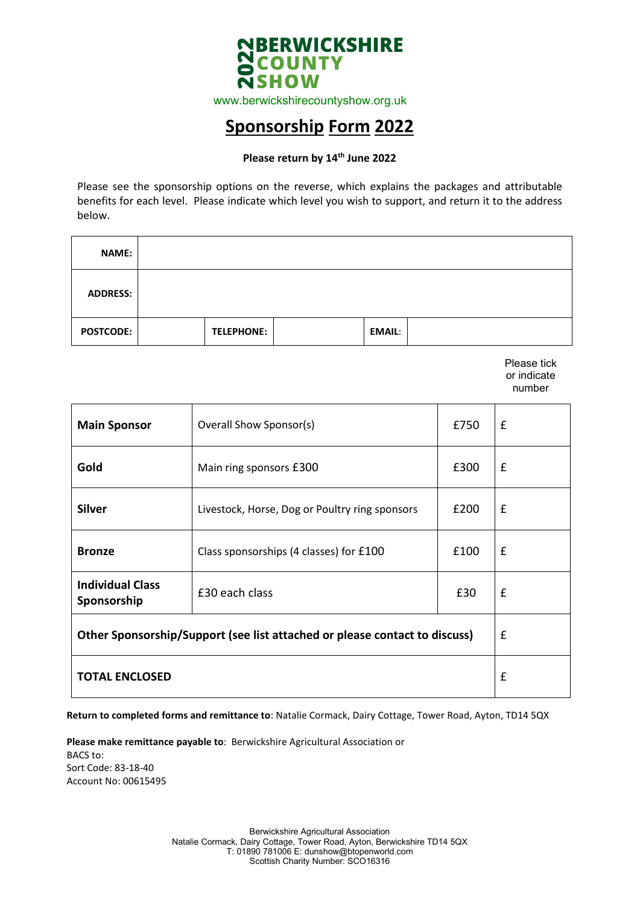

www.berwickshirecountyshow.org.uk

## **Sponsorship Form 2022**

#### **Please return by 14th June 2022**

Please see the sponsorship options on the reverse, which explains the packages and attributable benefits for each level. Please indicate which level you wish to support, and return it to the address below.

| <b>NAME:</b>     |                   |               |  |
|------------------|-------------------|---------------|--|
| <b>ADDRESS:</b>  |                   |               |  |
| <b>POSTCODE:</b> | <b>TELEPHONE:</b> | <b>EMAIL:</b> |  |

Please tick or indicate number

| Overall Show Sponsor(s)<br><b>Main Sponsor</b>                             |                                                | £750 | £ |
|----------------------------------------------------------------------------|------------------------------------------------|------|---|
| Gold                                                                       | Main ring sponsors £300                        | £300 | £ |
| <b>Silver</b>                                                              | Livestock, Horse, Dog or Poultry ring sponsors | £200 | £ |
| <b>Bronze</b>                                                              | Class sponsorships (4 classes) for £100        | £100 | £ |
| <b>Individual Class</b><br>Sponsorship                                     | £30 each class                                 | £30  | £ |
| Other Sponsorship/Support (see list attached or please contact to discuss) | £                                              |      |   |
| <b>TOTAL ENCLOSED</b>                                                      | £                                              |      |   |

**Return to completed forms and remittance to**: Natalie Cormack, Dairy Cottage, Tower Road, Ayton, TD14 5QX

**Please make remittance payable to**: Berwickshire Agricultural Association or BACS to: Sort Code: 83-18-40 Account No: 00615495